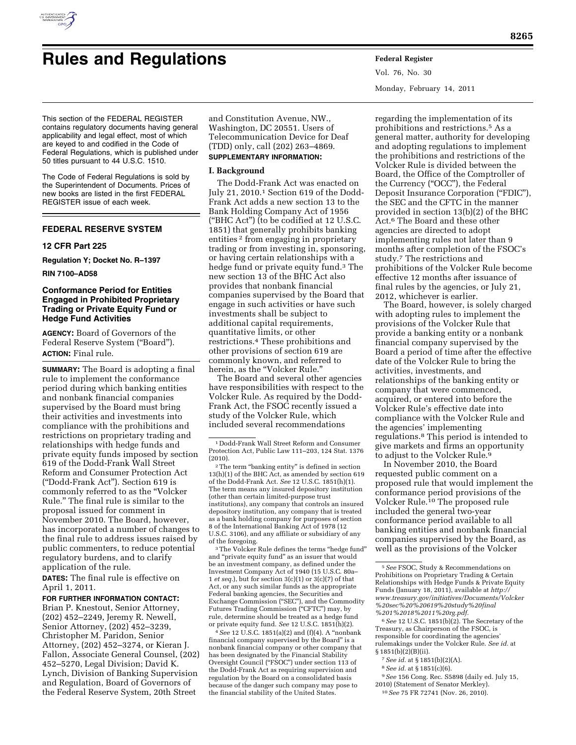

# **Rules and Regulations Federal Register**

Vol. 76, No. 30 Monday, February 14, 2011

This section of the FEDERAL REGISTER contains regulatory documents having general applicability and legal effect, most of which are keyed to and codified in the Code of Federal Regulations, which is published under 50 titles pursuant to 44 U.S.C. 1510.

The Code of Federal Regulations is sold by the Superintendent of Documents. Prices of new books are listed in the first FEDERAL REGISTER issue of each week.

# **FEDERAL RESERVE SYSTEM**

#### **12 CFR Part 225**

**Regulation Y; Docket No. R–1397** 

#### **RIN 7100–AD58**

# **Conformance Period for Entities Engaged in Prohibited Proprietary Trading or Private Equity Fund or Hedge Fund Activities**

**AGENCY:** Board of Governors of the Federal Reserve System (''Board''). **ACTION:** Final rule.

**SUMMARY:** The Board is adopting a final rule to implement the conformance period during which banking entities and nonbank financial companies supervised by the Board must bring their activities and investments into compliance with the prohibitions and restrictions on proprietary trading and relationships with hedge funds and private equity funds imposed by section 619 of the Dodd-Frank Wall Street Reform and Consumer Protection Act (''Dodd-Frank Act''). Section 619 is commonly referred to as the ''Volcker Rule.'' The final rule is similar to the proposal issued for comment in November 2010. The Board, however, has incorporated a number of changes to the final rule to address issues raised by public commenters, to reduce potential regulatory burdens, and to clarify application of the rule.

**DATES:** The final rule is effective on April 1, 2011.

# **FOR FURTHER INFORMATION CONTACT:**

Brian P. Knestout, Senior Attorney, (202) 452–2249, Jeremy R. Newell, Senior Attorney, (202) 452–3239, Christopher M. Paridon, Senior Attorney, (202) 452–3274, or Kieran J. Fallon, Associate General Counsel, (202) 452–5270, Legal Division; David K. Lynch, Division of Banking Supervision and Regulation, Board of Governors of the Federal Reserve System, 20th Street

and Constitution Avenue, NW., Washington, DC 20551. Users of Telecommunication Device for Deaf (TDD) only, call (202) 263–4869. **SUPPLEMENTARY INFORMATION:** 

# **I. Background**

The Dodd-Frank Act was enacted on July 21, 2010.1 Section 619 of the Dodd-Frank Act adds a new section 13 to the Bank Holding Company Act of 1956 (''BHC Act'') (to be codified at 12 U.S.C. 1851) that generally prohibits banking entities 2 from engaging in proprietary trading or from investing in, sponsoring, or having certain relationships with a hedge fund or private equity fund.3 The new section 13 of the BHC Act also provides that nonbank financial companies supervised by the Board that engage in such activities or have such investments shall be subject to additional capital requirements, quantitative limits, or other restrictions.4 These prohibitions and other provisions of section 619 are commonly known, and referred to herein, as the "Volcker Rule."

The Board and several other agencies have responsibilities with respect to the Volcker Rule. As required by the Dodd-Frank Act, the FSOC recently issued a study of the Volcker Rule, which included several recommendations

<sup>3</sup>The Volcker Rule defines the terms "hedge fund" and "private equity fund" as an issuer that would be an investment company, as defined under the Investment Company Act of 1940 (15 U.S.C. 80a– 1 *et seq.*), but for section 3(c)(1) or 3(c)(7) of that Act, or any such similar funds as the appropriate Federal banking agencies, the Securities and Exchange Commission ("SEC"), and the Commodity Futures Trading Commission ("CFTC") may, by rule, determine should be treated as a hedge fund or private equity fund. *See* 12 U.S.C. 1851(h)(2).

4*See* 12 U.S.C. 1851(a)(2) and (f)(4). A ''nonbank financial company supervised by the Board'' is a nonbank financial company or other company that has been designated by the Financial Stability Oversight Council ("FSOC") under section 113 of the Dodd-Frank Act as requiring supervision and regulation by the Board on a consolidated basis because of the danger such company may pose to the financial stability of the United States.

regarding the implementation of its prohibitions and restrictions.5 As a general matter, authority for developing and adopting regulations to implement the prohibitions and restrictions of the Volcker Rule is divided between the Board, the Office of the Comptroller of the Currency (''OCC''), the Federal Deposit Insurance Corporation ("FDIC"), the SEC and the CFTC in the manner provided in section 13(b)(2) of the BHC Act.6 The Board and these other agencies are directed to adopt implementing rules not later than 9 months after completion of the FSOC's study.7 The restrictions and prohibitions of the Volcker Rule become effective 12 months after issuance of final rules by the agencies, or July 21, 2012, whichever is earlier.

The Board, however, is solely charged with adopting rules to implement the provisions of the Volcker Rule that provide a banking entity or a nonbank financial company supervised by the Board a period of time after the effective date of the Volcker Rule to bring the activities, investments, and relationships of the banking entity or company that were commenced, acquired, or entered into before the Volcker Rule's effective date into compliance with the Volcker Rule and the agencies' implementing regulations.8 This period is intended to give markets and firms an opportunity to adjust to the Volcker Rule.9

In November 2010, the Board requested public comment on a proposed rule that would implement the conformance period provisions of the Volcker Rule.<sup>10</sup> The proposed rule included the general two-year conformance period available to all banking entities and nonbank financial companies supervised by the Board, as well as the provisions of the Volcker

6*See* 12 U.S.C. 1851(b)(2). The Secretary of the Treasury, as Chairperson of the FSOC, is responsible for coordinating the agencies' rulemakings under the Volcker Rule. *See id.* at § 1851(b)(2)(B)(ii).

- 7*See id.* at § 1851(b)(2)(A).
- 8*See id.* at § 1851(c)(6).
- 9*See* 156 Cong. Rec. S5898 (daily ed. July 15, 2010) (Statement of Senator Merkley).

<sup>1</sup> Dodd-Frank Wall Street Reform and Consumer Protection Act, Public Law 111–203, 124 Stat. 1376 (2010).

<sup>&</sup>lt;sup>2</sup>The term "banking entity" is defined in section 13(h)(1) of the BHC Act, as amended by section 619 of the Dodd-Frank Act. *See* 12 U.S.C. 1851(h)(1). The term means any insured depository institution (other than certain limited-purpose trust institutions), any company that controls an insured depository institution, any company that is treated as a bank holding company for purposes of section 8 of the International Banking Act of 1978 (12 U.S.C. 3106), and any affiliate or subsidiary of any of the foregoing.

<sup>5</sup>*See* FSOC, Study & Recommendations on Prohibitions on Proprietary Trading & Certain Relationships with Hedge Funds & Private Equity Funds (January 18, 2011), available at *[http://](http://www.treasury.gov/initiatives/Documents/Volcker%20sec%20%20619%20study%20final%201%2018%2011%20rg.pdf) [www.treasury.gov/initiatives/Documents/Volcker](http://www.treasury.gov/initiatives/Documents/Volcker%20sec%20%20619%20study%20final%201%2018%2011%20rg.pdf) [%20sec%20%20619%20study%20final](http://www.treasury.gov/initiatives/Documents/Volcker%20sec%20%20619%20study%20final%201%2018%2011%20rg.pdf) [%201%2018%2011%20rg.pdf.](http://www.treasury.gov/initiatives/Documents/Volcker%20sec%20%20619%20study%20final%201%2018%2011%20rg.pdf)* 

<sup>10</sup>*See* 75 FR 72741 (Nov. 26, 2010).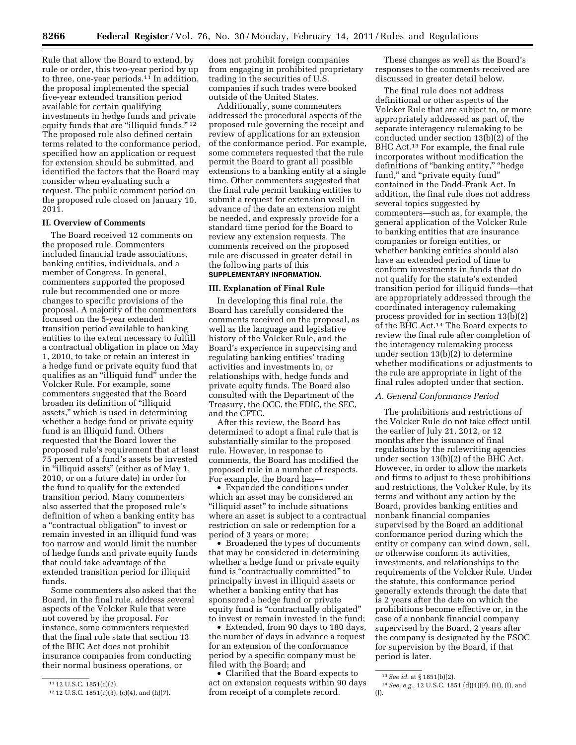Rule that allow the Board to extend, by rule or order, this two-year period by up to three, one-year periods.11 In addition, the proposal implemented the special five-year extended transition period available for certain qualifying investments in hedge funds and private equity funds that are "illiquid funds."<sup>12</sup> The proposed rule also defined certain terms related to the conformance period, specified how an application or request for extension should be submitted, and identified the factors that the Board may consider when evaluating such a request. The public comment period on the proposed rule closed on January 10, 2011.

# **II. Overview of Comments**

The Board received 12 comments on the proposed rule. Commenters included financial trade associations, banking entities, individuals, and a member of Congress. In general, commenters supported the proposed rule but recommended one or more changes to specific provisions of the proposal. A majority of the commenters focused on the 5-year extended transition period available to banking entities to the extent necessary to fulfill a contractual obligation in place on May 1, 2010, to take or retain an interest in a hedge fund or private equity fund that qualifies as an ''illiquid fund'' under the Volcker Rule. For example, some commenters suggested that the Board broaden its definition of ''illiquid assets,'' which is used in determining whether a hedge fund or private equity fund is an illiquid fund. Others requested that the Board lower the proposed rule's requirement that at least 75 percent of a fund's assets be invested in ''illiquid assets'' (either as of May 1, 2010, or on a future date) in order for the fund to qualify for the extended transition period. Many commenters also asserted that the proposed rule's definition of when a banking entity has a ''contractual obligation'' to invest or remain invested in an illiquid fund was too narrow and would limit the number of hedge funds and private equity funds that could take advantage of the extended transition period for illiquid funds.

Some commenters also asked that the Board, in the final rule, address several aspects of the Volcker Rule that were not covered by the proposal. For instance, some commenters requested that the final rule state that section 13 of the BHC Act does not prohibit insurance companies from conducting their normal business operations, or

does not prohibit foreign companies from engaging in prohibited proprietary trading in the securities of U.S. companies if such trades were booked outside of the United States.

Additionally, some commenters addressed the procedural aspects of the proposed rule governing the receipt and review of applications for an extension of the conformance period. For example, some commeters requested that the rule permit the Board to grant all possible extensions to a banking entity at a single time. Other commenters suggested that the final rule permit banking entities to submit a request for extension well in advance of the date an extension might be needed, and expressly provide for a standard time period for the Board to review any extension requests. The comments received on the proposed rule are discussed in greater detail in the following parts of this

# **SUPPLEMENTARY INFORMATION**.

# **III. Explanation of Final Rule**

In developing this final rule, the Board has carefully considered the comments received on the proposal, as well as the language and legislative history of the Volcker Rule, and the Board's experience in supervising and regulating banking entities' trading activities and investments in, or relationships with, hedge funds and private equity funds. The Board also consulted with the Department of the Treasury, the OCC, the FDIC, the SEC, and the CFTC.

After this review, the Board has determined to adopt a final rule that is substantially similar to the proposed rule. However, in response to comments, the Board has modified the proposed rule in a number of respects. For example, the Board has—

• Expanded the conditions under which an asset may be considered an "illiquid asset" to include situations where an asset is subject to a contractual restriction on sale or redemption for a period of 3 years or more;

• Broadened the types of documents that may be considered in determining whether a hedge fund or private equity fund is "contractually committed" to principally invest in illiquid assets or whether a banking entity that has sponsored a hedge fund or private equity fund is "contractually obligated" to invest or remain invested in the fund;

• Extended, from 90 days to 180 days, the number of days in advance a request for an extension of the conformance period by a specific company must be filed with the Board; and

• Clarified that the Board expects to act on extension requests within 90 days from receipt of a complete record.

These changes as well as the Board's responses to the comments received are discussed in greater detail below.

The final rule does not address definitional or other aspects of the Volcker Rule that are subject to, or more appropriately addressed as part of, the separate interagency rulemaking to be conducted under section 13(b)(2) of the BHC Act.13 For example, the final rule incorporates without modification the definitions of "banking entity," "hedge fund," and "private equity fund" contained in the Dodd-Frank Act. In addition, the final rule does not address several topics suggested by commenters—such as, for example, the general application of the Volcker Rule to banking entities that are insurance companies or foreign entities, or whether banking entities should also have an extended period of time to conform investments in funds that do not qualify for the statute's extended transition period for illiquid funds—that are appropriately addressed through the coordinated interagency rulemaking process provided for in section 13(b)(2) of the BHC Act.14 The Board expects to review the final rule after completion of the interagency rulemaking process under section 13(b)(2) to determine whether modifications or adjustments to the rule are appropriate in light of the final rules adopted under that section.

#### *A. General Conformance Period*

The prohibitions and restrictions of the Volcker Rule do not take effect until the earlier of July 21, 2012, or 12 months after the issuance of final regulations by the rulewriting agencies under section 13(b)(2) of the BHC Act. However, in order to allow the markets and firms to adjust to these prohibitions and restrictions, the Volcker Rule, by its terms and without any action by the Board, provides banking entities and nonbank financial companies supervised by the Board an additional conformance period during which the entity or company can wind down, sell, or otherwise conform its activities, investments, and relationships to the requirements of the Volcker Rule. Under the statute, this conformance period generally extends through the date that is 2 years after the date on which the prohibitions become effective or, in the case of a nonbank financial company supervised by the Board, 2 years after the company is designated by the FSOC for supervision by the Board, if that period is later.

<sup>11</sup> 12 U.S.C. 1851(c)(2).

<sup>12</sup> 12 U.S.C. 1851(c)(3), (c)(4), and (h)(7).

<sup>13</sup>*See id.* at § 1851(b)(2).

<sup>14</sup>*See, e.g.,* 12 U.S.C. 1851 (d)(1)(F), (H), (I), and  $(1)$ .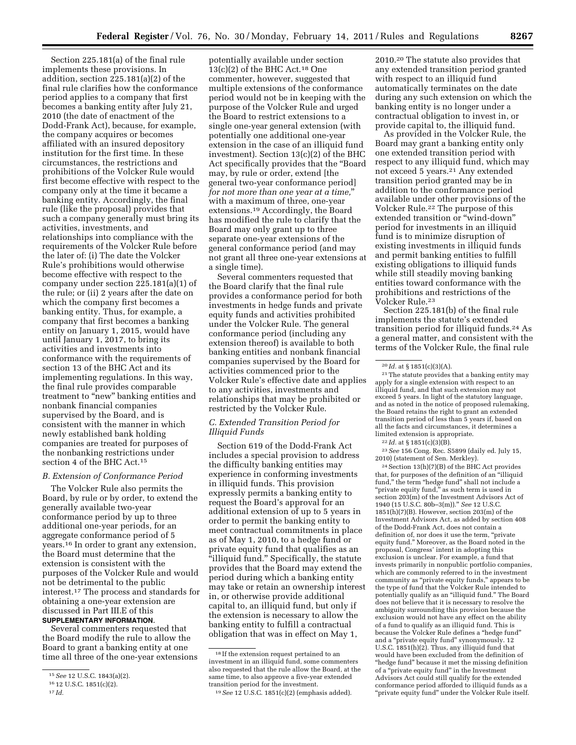Section 225.181(a) of the final rule implements these provisions. In addition, section 225.181(a)(2) of the final rule clarifies how the conformance period applies to a company that first becomes a banking entity after July 21, 2010 (the date of enactment of the Dodd-Frank Act), because, for example, the company acquires or becomes affiliated with an insured depository institution for the first time. In these circumstances, the restrictions and prohibitions of the Volcker Rule would first become effective with respect to the company only at the time it became a banking entity. Accordingly, the final rule (like the proposal) provides that such a company generally must bring its activities, investments, and relationships into compliance with the requirements of the Volcker Rule before the later of: (i) The date the Volcker Rule's prohibitions would otherwise become effective with respect to the company under section 225.181(a)(1) of the rule; or (ii) 2 years after the date on which the company first becomes a banking entity. Thus, for example, a company that first becomes a banking entity on January 1, 2015, would have until January 1, 2017, to bring its activities and investments into conformance with the requirements of section 13 of the BHC Act and its implementing regulations. In this way, the final rule provides comparable treatment to ''new'' banking entities and nonbank financial companies supervised by the Board, and is consistent with the manner in which newly established bank holding companies are treated for purposes of the nonbanking restrictions under section 4 of the BHC Act.15

#### *B. Extension of Conformance Period*

The Volcker Rule also permits the Board, by rule or by order, to extend the generally available two-year conformance period by up to three additional one-year periods, for an aggregate conformance period of 5 years.16 In order to grant any extension, the Board must determine that the extension is consistent with the purposes of the Volcker Rule and would not be detrimental to the public interest.17 The process and standards for obtaining a one-year extension are discussed in Part III.E of this **SUPPLEMENTARY INFORMATION**.

Several commenters requested that the Board modify the rule to allow the Board to grant a banking entity at one time all three of the one-year extensions

potentially available under section  $13(c)(2)$  of the BHC Act.<sup>18</sup> One commenter, however, suggested that multiple extensions of the conformance period would not be in keeping with the purpose of the Volcker Rule and urged the Board to restrict extensions to a single one-year general extension (with potentially one additional one-year extension in the case of an illiquid fund investment). Section 13(c)(2) of the BHC Act specifically provides that the ''Board may, by rule or order, extend [the general two-year conformance period] *for not more than one year at a time,*'' with a maximum of three, one-year extensions.19 Accordingly, the Board has modified the rule to clarify that the Board may only grant up to three separate one-year extensions of the general conformance period (and may not grant all three one-year extensions at a single time).

Several commenters requested that the Board clarify that the final rule provides a conformance period for both investments in hedge funds and private equity funds and activities prohibited under the Volcker Rule. The general conformance period (including any extension thereof) is available to both banking entities and nonbank financial companies supervised by the Board for activities commenced prior to the Volcker Rule's effective date and applies to any activities, investments and relationships that may be prohibited or restricted by the Volcker Rule.

# *C. Extended Transition Period for Illiquid Funds*

Section 619 of the Dodd-Frank Act includes a special provision to address the difficulty banking entities may experience in conforming investments in illiquid funds. This provision expressly permits a banking entity to request the Board's approval for an additional extension of up to 5 years in order to permit the banking entity to meet contractual commitments in place as of May 1, 2010, to a hedge fund or private equity fund that qualifies as an "illiquid fund." Specifically, the statute provides that the Board may extend the period during which a banking entity may take or retain an ownership interest in, or otherwise provide additional capital to, an illiquid fund, but only if the extension is necessary to allow the banking entity to fulfill a contractual obligation that was in effect on May 1,

2010.20 The statute also provides that any extended transition period granted with respect to an illiquid fund automatically terminates on the date during any such extension on which the banking entity is no longer under a contractual obligation to invest in, or provide capital to, the illiquid fund.

As provided in the Volcker Rule, the Board may grant a banking entity only one extended transition period with respect to any illiquid fund, which may not exceed 5 years.21 Any extended transition period granted may be in addition to the conformance period available under other provisions of the Volcker Rule.22 The purpose of this extended transition or ''wind-down'' period for investments in an illiquid fund is to minimize disruption of existing investments in illiquid funds and permit banking entities to fulfill existing obligations to illiquid funds while still steadily moving banking entities toward conformance with the prohibitions and restrictions of the Volcker Rule.23

Section 225.181(b) of the final rule implements the statute's extended transition period for illiquid funds.24 As a general matter, and consistent with the terms of the Volcker Rule, the final rule

22 *Id.* at § 1851(c)(3)(B).

23*See* 156 Cong. Rec. S5899 (daily ed. July 15, 2010) (statement of Sen. Merkley).

24Section 13(h)(7)(B) of the BHC Act provides that, for purposes of the definition of an ''illiquid fund,'' the term ''hedge fund'' shall not include a ''private equity fund,'' as such term is used in section 203(m) of the Investment Advisors Act of 1940 (15 U.S.C. 80b–3(m)).'' *See* 12 U.S.C. 1851(h)(7)(B). However, section 203(m) of the Investment Advisors Act, as added by section 408 of the Dodd-Frank Act, does not contain a definition of, nor does it use the term, ''private equity fund.'' Moreover, as the Board noted in the proposal, Congress' intent in adopting this exclusion is unclear. For example, a fund that invests primarily in nonpublic portfolio companies, which are commonly referred to in the investment community as ''private equity funds,'' appears to be the type of fund that the Volcker Rule intended to potentially qualify as an "illiquid fund." The Board does not believe that it is necessary to resolve the ambiguity surrounding this provision because the exclusion would not have any effect on the ability of a fund to qualify as an illiquid fund. This is because the Volcker Rule defines a ''hedge fund'' and a "private equity fund" synonymously. 12 U.S.C. 1851(h)(2). Thus, any illiquid fund that would have been excluded from the definition of ''hedge fund'' because it met the missing definition of a ''private equity fund'' in the Investment Advisors Act could still qualify for the extended conformance period afforded to illiquid funds as a ''private equity fund'' under the Volcker Rule itself.

<sup>15</sup>*See* 12 U.S.C. 1843(a)(2).

<sup>16</sup> 12 U.S.C. 1851(c)(2).

<sup>17</sup> *Id.* 

 $^{\rm 18}$  If the extension request pertained to an investment in an illiquid fund, some commenters also requested that the rule allow the Board, at the same time, to also approve a five-year extended transition period for the investment.

<sup>19</sup>*See* 12 U.S.C. 1851(c)(2) (emphasis added).

<sup>20</sup> *Id.* at § 1851(c)(3)(A).

<sup>21</sup>The statute provides that a banking entity may apply for a single extension with respect to an illiquid fund, and that such extension may not exceed 5 years. In light of the statutory language, and as noted in the notice of proposed rulemaking, the Board retains the right to grant an extended transition period of less than 5 years if, based on all the facts and circumstances, it determines a limited extension is appropriate.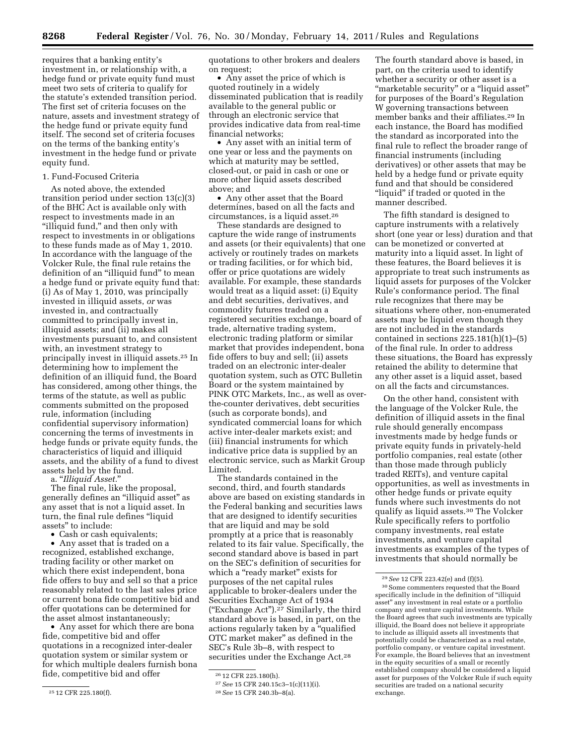requires that a banking entity's investment in, or relationship with, a hedge fund or private equity fund must meet two sets of criteria to qualify for the statute's extended transition period. The first set of criteria focuses on the nature, assets and investment strategy of the hedge fund or private equity fund itself. The second set of criteria focuses on the terms of the banking entity's investment in the hedge fund or private equity fund.

# 1. Fund-Focused Criteria

As noted above, the extended transition period under section 13(c)(3) of the BHC Act is available only with respect to investments made in an "illiquid fund," and then only with respect to investments in or obligations to these funds made as of May 1, 2010. In accordance with the language of the Volcker Rule, the final rule retains the definition of an "illiquid fund" to mean a hedge fund or private equity fund that: (i) As of May 1, 2010, was principally invested in illiquid assets, *or* was invested in, and contractually committed to principally invest in, illiquid assets; and (ii) makes all investments pursuant to, and consistent with, an investment strategy to principally invest in illiquid assets.25 In determining how to implement the definition of an illiquid fund, the Board has considered, among other things, the terms of the statute, as well as public comments submitted on the proposed rule, information (including confidential supervisory information) concerning the terms of investments in hedge funds or private equity funds, the characteristics of liquid and illiquid assets, and the ability of a fund to divest assets held by the fund.

a. ''*Illiquid Asset.*''

The final rule, like the proposal, generally defines an ''illiquid asset'' as any asset that is not a liquid asset. In turn, the final rule defines "liquid assets'' to include:

• Cash or cash equivalents;

• Any asset that is traded on a recognized, established exchange, trading facility or other market on which there exist independent, bona fide offers to buy and sell so that a price reasonably related to the last sales price or current bona fide competitive bid and offer quotations can be determined for the asset almost instantaneously;

• Any asset for which there are bona fide, competitive bid and offer quotations in a recognized inter-dealer quotation system or similar system or for which multiple dealers furnish bona fide, competitive bid and offer

quotations to other brokers and dealers on request;

• Any asset the price of which is quoted routinely in a widely disseminated publication that is readily available to the general public or through an electronic service that provides indicative data from real-time financial networks;

• Any asset with an initial term of one year or less and the payments on which at maturity may be settled, closed-out, or paid in cash or one or more other liquid assets described above; and

• Any other asset that the Board determines, based on all the facts and circumstances, is a liquid asset.26

These standards are designed to capture the wide range of instruments and assets (or their equivalents) that one actively or routinely trades on markets or trading facilities, or for which bid, offer or price quotations are widely available. For example, these standards would treat as a liquid asset: (i) Equity and debt securities, derivatives, and commodity futures traded on a registered securities exchange, board of trade, alternative trading system, electronic trading platform or similar market that provides independent, bona fide offers to buy and sell; (ii) assets traded on an electronic inter-dealer quotation system, such as OTC Bulletin Board or the system maintained by PINK OTC Markets, Inc., as well as overthe-counter derivatives, debt securities (such as corporate bonds), and syndicated commercial loans for which active inter-dealer markets exist; and (iii) financial instruments for which indicative price data is supplied by an electronic service, such as Markit Group Limited.

The standards contained in the second, third, and fourth standards above are based on existing standards in the Federal banking and securities laws that are designed to identify securities that are liquid and may be sold promptly at a price that is reasonably related to its fair value. Specifically, the second standard above is based in part on the SEC's definition of securities for which a "ready market" exists for purposes of the net capital rules applicable to broker-dealers under the Securities Exchange Act of 1934 (''Exchange Act'').27 Similarly, the third standard above is based, in part, on the actions regularly taken by a ''qualified OTC market maker'' as defined in the SEC's Rule 3b–8, with respect to securities under the Exchange Act.<sup>28</sup>

The fourth standard above is based, in part, on the criteria used to identify whether a security or other asset is a ''marketable security'' or a ''liquid asset'' for purposes of the Board's Regulation W governing transactions between member banks and their affiliates.29 In each instance, the Board has modified the standard as incorporated into the final rule to reflect the broader range of financial instruments (including derivatives) or other assets that may be held by a hedge fund or private equity fund and that should be considered "liquid" if traded or quoted in the manner described.

The fifth standard is designed to capture instruments with a relatively short (one year or less) duration and that can be monetized or converted at maturity into a liquid asset. In light of these features, the Board believes it is appropriate to treat such instruments as liquid assets for purposes of the Volcker Rule's conformance period. The final rule recognizes that there may be situations where other, non-enumerated assets may be liquid even though they are not included in the standards contained in sections  $225.181(h)(1)–(5)$ of the final rule. In order to address these situations, the Board has expressly retained the ability to determine that any other asset is a liquid asset, based on all the facts and circumstances.

On the other hand, consistent with the language of the Volcker Rule, the definition of illiquid assets in the final rule should generally encompass investments made by hedge funds or private equity funds in privately-held portfolio companies, real estate (other than those made through publicly traded REITs), and venture capital opportunities, as well as investments in other hedge funds or private equity funds where such investments do not qualify as liquid assets.30 The Volcker Rule specifically refers to portfolio company investments, real estate investments, and venture capital investments as examples of the types of investments that should normally be

<sup>25</sup> 12 CFR 225.180(f).

<sup>26</sup> 12 CFR 225.180(h).

<sup>27</sup>*See* 15 CFR 240.15c3–1(c)(11)(i).

<sup>28</sup>*See* 15 CFR 240.3b–8(a).

<sup>29</sup>*See* 12 CFR 223.42(e) and (f)(5).

<sup>30</sup>Some commenters requested that the Board specifically include in the definition of ''illiquid asset'' any investment in real estate or a portfolio company and venture capital investments. While the Board agrees that such investments are typically illiquid, the Board does not believe it appropriate to include as illiquid assets all investments that potentially could be characterized as a real estate, portfolio company, or venture capital investment. For example, the Board believes that an investment in the equity securities of a small or recently established company should be considered a liquid asset for purposes of the Volcker Rule if such equity securities are traded on a national security exchange.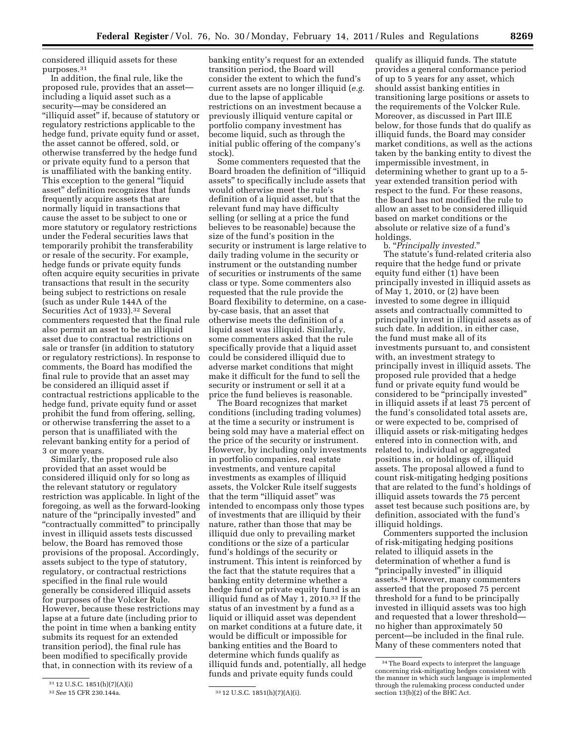considered illiquid assets for these purposes.31

In addition, the final rule, like the proposed rule, provides that an asset including a liquid asset such as a security—may be considered an ''illiquid asset'' if, because of statutory or regulatory restrictions applicable to the hedge fund, private equity fund or asset, the asset cannot be offered, sold, or otherwise transferred by the hedge fund or private equity fund to a person that is unaffiliated with the banking entity. This exception to the general "liquid" asset'' definition recognizes that funds frequently acquire assets that are normally liquid in transactions that cause the asset to be subject to one or more statutory or regulatory restrictions under the Federal securities laws that temporarily prohibit the transferability or resale of the security. For example, hedge funds or private equity funds often acquire equity securities in private transactions that result in the security being subject to restrictions on resale (such as under Rule 144A of the Securities Act of 1933).<sup>32</sup> Several commenters requested that the final rule also permit an asset to be an illiquid asset due to contractual restrictions on sale or transfer (in addition to statutory or regulatory restrictions). In response to comments, the Board has modified the final rule to provide that an asset may be considered an illiquid asset if contractual restrictions applicable to the hedge fund, private equity fund or asset prohibit the fund from offering, selling, or otherwise transferring the asset to a person that is unaffiliated with the relevant banking entity for a period of 3 or more years.

Similarly, the proposed rule also provided that an asset would be considered illiquid only for so long as the relevant statutory or regulatory restriction was applicable. In light of the foregoing, as well as the forward-looking nature of the "principally invested" and "contractually committed" to principally invest in illiquid assets tests discussed below, the Board has removed those provisions of the proposal. Accordingly, assets subject to the type of statutory, regulatory, or contractual restrictions specified in the final rule would generally be considered illiquid assets for purposes of the Volcker Rule. However, because these restrictions may lapse at a future date (including prior to the point in time when a banking entity submits its request for an extended transition period), the final rule has been modified to specifically provide that, in connection with its review of a

banking entity's request for an extended transition period, the Board will consider the extent to which the fund's current assets are no longer illiquid (*e.g.*  due to the lapse of applicable restrictions on an investment because a previously illiquid venture capital or portfolio company investment has become liquid, such as through the initial public offering of the company's stock).

Some commenters requested that the Board broaden the definition of ''illiquid assets'' to specifically include assets that would otherwise meet the rule's definition of a liquid asset, but that the relevant fund may have difficulty selling (or selling at a price the fund believes to be reasonable) because the size of the fund's position in the security or instrument is large relative to daily trading volume in the security or instrument or the outstanding number of securities or instruments of the same class or type. Some commenters also requested that the rule provide the Board flexibility to determine, on a caseby-case basis, that an asset that otherwise meets the definition of a liquid asset was illiquid. Similarly, some commenters asked that the rule specifically provide that a liquid asset could be considered illiquid due to adverse market conditions that might make it difficult for the fund to sell the security or instrument or sell it at a price the fund believes is reasonable.

The Board recognizes that market conditions (including trading volumes) at the time a security or instrument is being sold may have a material effect on the price of the security or instrument. However, by including only investments in portfolio companies, real estate investments, and venture capital investments as examples of illiquid assets, the Volcker Rule itself suggests that the term "illiquid asset" was intended to encompass only those types of investments that are illiquid by their nature, rather than those that may be illiquid due only to prevailing market conditions or the size of a particular fund's holdings of the security or instrument. This intent is reinforced by the fact that the statute requires that a banking entity determine whether a hedge fund or private equity fund is an illiquid fund as of May  $1, 2010$ .<sup>33</sup> If the status of an investment by a fund as a liquid or illiquid asset was dependent on market conditions at a future date, it would be difficult or impossible for banking entities and the Board to determine which funds qualify as illiquid funds and, potentially, all hedge funds and private equity funds could

qualify as illiquid funds. The statute provides a general conformance period of up to 5 years for any asset, which should assist banking entities in transitioning large positions or assets to the requirements of the Volcker Rule. Moreover, as discussed in Part III.E below, for those funds that do qualify as illiquid funds, the Board may consider market conditions, as well as the actions taken by the banking entity to divest the impermissible investment, in determining whether to grant up to a 5 year extended transition period with respect to the fund. For these reasons, the Board has not modified the rule to allow an asset to be considered illiquid based on market conditions or the absolute or relative size of a fund's holdings.

b. ''*Principally invested.*'' The statute's fund-related criteria also require that the hedge fund or private equity fund either (1) have been principally invested in illiquid assets as of May 1, 2010, or (2) have been invested to some degree in illiquid assets and contractually committed to principally invest in illiquid assets as of such date. In addition, in either case, the fund must make all of its investments pursuant to, and consistent with, an investment strategy to principally invest in illiquid assets. The proposed rule provided that a hedge fund or private equity fund would be considered to be ''principally invested'' in illiquid assets if at least 75 percent of the fund's consolidated total assets are, or were expected to be, comprised of illiquid assets or risk-mitigating hedges entered into in connection with, and related to, individual or aggregated positions in, or holdings of, illiquid assets. The proposal allowed a fund to count risk-mitigating hedging positions that are related to the fund's holdings of illiquid assets towards the 75 percent asset test because such positions are, by definition, associated with the fund's illiquid holdings.

Commenters supported the inclusion of risk-mitigating hedging positions related to illiquid assets in the determination of whether a fund is ''principally invested'' in illiquid assets.34 However, many commenters asserted that the proposed 75 percent threshold for a fund to be principally invested in illiquid assets was too high and requested that a lower threshold no higher than approximately 50 percent—be included in the final rule. Many of these commenters noted that

 $^{31}$  12 U.S.C. 1851(h)(7)(A)(i)  $^{32}$   $See$  15 CFR 230.144a.

<sup>33 12</sup> U.S.C. 1851(h)(7)(A)(i).

<sup>34</sup>The Board expects to interpret the language concerning risk-mitigating hedges consistent with the manner in which such language is implemented through the rulemaking process conducted under section 13(b)(2) of the BHC Act.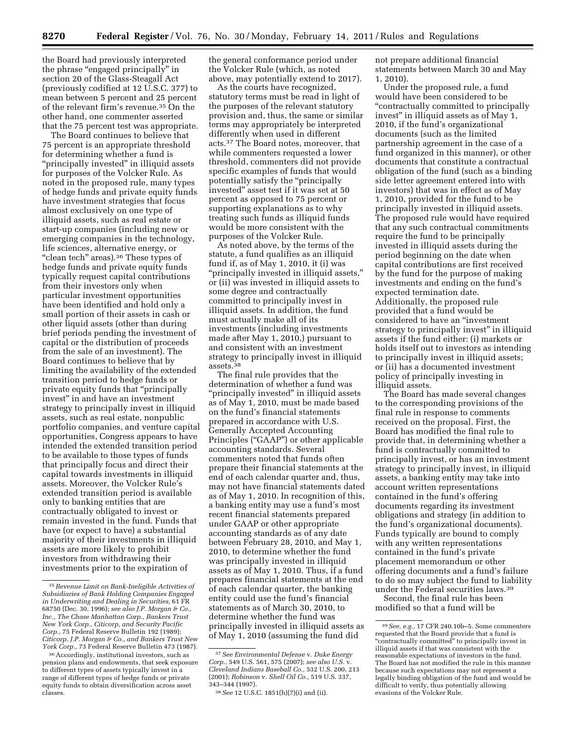the Board had previously interpreted the phrase ''engaged principally'' in section 20 of the Glass-Steagall Act (previously codified at 12 U.S.C. 377) to mean between 5 percent and 25 percent of the relevant firm's revenue.35 On the other hand, one commenter asserted that the 75 percent test was appropriate.

The Board continues to believe that 75 percent is an appropriate threshold for determining whether a fund is ''principally invested'' in illiquid assets for purposes of the Volcker Rule. As noted in the proposed rule, many types of hedge funds and private equity funds have investment strategies that focus almost exclusively on one type of illiquid assets, such as real estate or start-up companies (including new or emerging companies in the technology, life sciences, alternative energy, or "clean tech" areas).<sup>36</sup> These types of hedge funds and private equity funds typically request capital contributions from their investors only when particular investment opportunities have been identified and hold only a small portion of their assets in cash or other liquid assets (other than during brief periods pending the investment of capital or the distribution of proceeds from the sale of an investment). The Board continues to believe that by limiting the availability of the extended transition period to hedge funds or private equity funds that ''principally invest'' in and have an investment strategy to principally invest in illiquid assets, such as real estate, nonpublic portfolio companies, and venture capital opportunities, Congress appears to have intended the extended transition period to be available to those types of funds that principally focus and direct their capital towards investments in illiquid assets. Moreover, the Volcker Rule's extended transition period is available only to banking entities that are contractually obligated to invest or remain invested in the fund. Funds that have (or expect to have) a substantial majority of their investments in illiquid assets are more likely to prohibit investors from withdrawing their investments prior to the expiration of

the general conformance period under the Volcker Rule (which, as noted above, may potentially extend to 2017).

As the courts have recognized, statutory terms must be read in light of the purposes of the relevant statutory provision and, thus, the same or similar terms may appropriately be interpreted differently when used in different acts.37 The Board notes, moreover, that while commenters requested a lower threshold, commenters did not provide specific examples of funds that would potentially satisfy the ''principally invested'' asset test if it was set at 50 percent as opposed to 75 percent or supporting explanations as to why treating such funds as illiquid funds would be more consistent with the purposes of the Volcker Rule.

As noted above, by the terms of the statute, a fund qualifies as an illiquid fund if, as of May 1, 2010, it (i) was ''principally invested in illiquid assets,'' or (ii) was invested in illiquid assets to some degree and contractually committed to principally invest in illiquid assets. In addition, the fund must actually make all of its investments (including investments made after May 1, 2010,) pursuant to and consistent with an investment strategy to principally invest in illiquid assets.38

The final rule provides that the determination of whether a fund was ''principally invested'' in illiquid assets as of May 1, 2010, must be made based on the fund's financial statements prepared in accordance with U.S. Generally Accepted Accounting Principles ("GAAP") or other applicable accounting standards. Several commenters noted that funds often prepare their financial statements at the end of each calendar quarter and, thus, may not have financial statements dated as of May 1, 2010. In recognition of this, a banking entity may use a fund's most recent financial statements prepared under GAAP or other appropriate accounting standards as of any date between February 28, 2010, and May 1, 2010, to determine whether the fund was principally invested in illiquid assets as of May 1, 2010. Thus, if a fund prepares financial statements at the end of each calendar quarter, the banking entity could use the fund's financial statements as of March 30, 2010, to determine whether the fund was principally invested in illiquid assets as of May 1, 2010 (assuming the fund did

not prepare additional financial statements between March 30 and May 1, 2010).

Under the proposed rule, a fund would have been considered to be ''contractually committed to principally invest'' in illiquid assets as of May 1, 2010, if the fund's organizational documents (such as the limited partnership agreement in the case of a fund organized in this manner), or other documents that constitute a contractual obligation of the fund (such as a binding side letter agreement entered into with investors) that was in effect as of May 1, 2010, provided for the fund to be principally invested in illiquid assets. The proposed rule would have required that any such contractual commitments require the fund to be principally invested in illiquid assets during the period beginning on the date when capital contributions are first received by the fund for the purpose of making investments and ending on the fund's expected termination date. Additionally, the proposed rule provided that a fund would be considered to have an ''investment strategy to principally invest'' in illiquid assets if the fund either: (i) markets or holds itself out to investors as intending to principally invest in illiquid assets; or (ii) has a documented investment policy of principally investing in illiquid assets.

The Board has made several changes to the corresponding provisions of the final rule in response to comments received on the proposal. First, the Board has modified the final rule to provide that, in determining whether a fund is contractually committed to principally invest, or has an investment strategy to principally invest, in illiquid assets, a banking entity may take into account written representations contained in the fund's offering documents regarding its investment obligations and strategy (in addition to the fund's organizational documents). Funds typically are bound to comply with any written representations contained in the fund's private placement memorandum or other offering documents and a fund's failure to do so may subject the fund to liability under the Federal securities laws.39

Second, the final rule has been modified so that a fund will be

<sup>35</sup>*Revenue Limit on Bank-Ineligible Activities of Subsidiaries of Bank Holding Companies Engaged in Underwriting and Dealing in Securities,* 61 FR 68750 (Dec. 30, 1996); *see also J.P. Morgan & Co., Inc., The Chase Manhattan Corp., Bankers Trust New York Corp., Citicorp, and Security Pacific Corp.,* 75 Federal Reserve Bulletin 192 (1989); *Citicorp, J.P. Morgan & Co., and Bankers Trust New York Corp.,* 73 Federal Reserve Bulletin 473 (1987).

<sup>36</sup>Accordingly, institutional investors, such as pension plans and endowments, that seek exposure to different types of assets typically invest in a range of different types of hedge funds or private equity funds to obtain diversification across asset classes.

<sup>37</sup>*See Environmental Defense* v. *Duke Energy Corp.,* 549 U.S. 561, 575 (2007); *see also U.S.* v. *Cleveland Indians Baseball Co.,* 532 U.S. 200, 213 (2001); *Robinson* v. *Shell Oil Co.,* 519 U.S. 337, 343–344 (1997).

<sup>38</sup>*See* 12 U.S.C. 1851(h)(7)(i) and (ii).

<sup>39</sup>*See, e.g.,* 17 CFR 240.10b–5. Some commenters requested that the Board provide that a fund is ''contractually committed'' to principally invest in illiquid assets if that was consistent with the reasonable expectations of investors in the fund. The Board has not modified the rule in this manner because such expectations may not represent a legally binding obligation of the fund and would be difficult to verify, thus potentially allowing evasions of the Volcker Rule.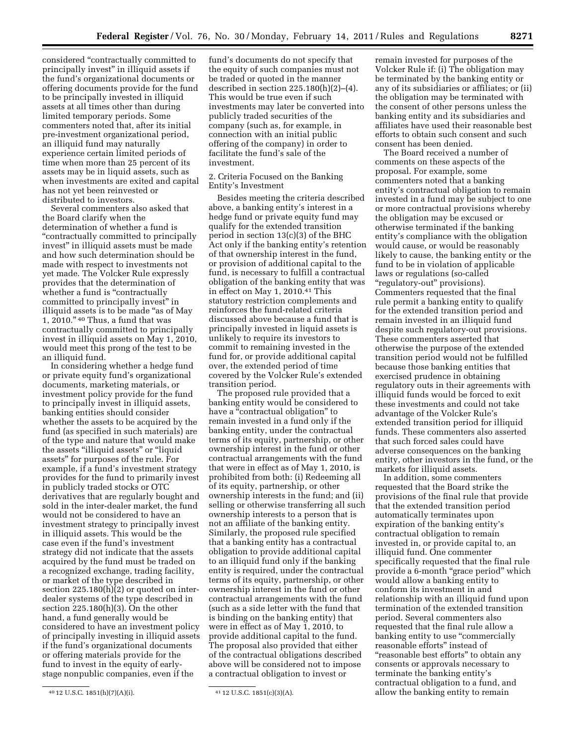considered ''contractually committed to principally invest'' in illiquid assets if the fund's organizational documents or offering documents provide for the fund to be principally invested in illiquid assets at all times other than during limited temporary periods. Some commenters noted that, after its initial pre-investment organizational period, an illiquid fund may naturally experience certain limited periods of time when more than 25 percent of its assets may be in liquid assets, such as when investments are exited and capital has not yet been reinvested or distributed to investors.

Several commenters also asked that the Board clarify when the determination of whether a fund is ''contractually committed to principally invest'' in illiquid assets must be made and how such determination should be made with respect to investments not yet made. The Volcker Rule expressly provides that the determination of whether a fund is "contractually" committed to principally invest'' in illiquid assets is to be made ''as of May 1, 2010.'' 40 Thus, a fund that was contractually committed to principally invest in illiquid assets on May 1, 2010, would meet this prong of the test to be an illiquid fund.

In considering whether a hedge fund or private equity fund's organizational documents, marketing materials, or investment policy provide for the fund to principally invest in illiquid assets, banking entities should consider whether the assets to be acquired by the fund (as specified in such materials) are of the type and nature that would make the assets ''illiquid assets'' or ''liquid assets'' for purposes of the rule. For example, if a fund's investment strategy provides for the fund to primarily invest in publicly traded stocks or OTC derivatives that are regularly bought and sold in the inter-dealer market, the fund would not be considered to have an investment strategy to principally invest in illiquid assets. This would be the case even if the fund's investment strategy did not indicate that the assets acquired by the fund must be traded on a recognized exchange, trading facility, or market of the type described in section 225.180(h)(2) or quoted on interdealer systems of the type described in section 225.180(h)(3). On the other hand, a fund generally would be considered to have an investment policy of principally investing in illiquid assets if the fund's organizational documents or offering materials provide for the fund to invest in the equity of earlystage nonpublic companies, even if the

fund's documents do not specify that the equity of such companies must not be traded or quoted in the manner described in section  $225.180(h)(2)–(4)$ . This would be true even if such investments may later be converted into publicly traded securities of the company (such as, for example, in connection with an initial public offering of the company) in order to facilitate the fund's sale of the investment.

2. Criteria Focused on the Banking Entity's Investment

Besides meeting the criteria described above, a banking entity's interest in a hedge fund or private equity fund may qualify for the extended transition period in section 13(c)(3) of the BHC Act only if the banking entity's retention of that ownership interest in the fund, or provision of additional capital to the fund, is necessary to fulfill a contractual obligation of the banking entity that was in effect on May 1, 2010.41 This statutory restriction complements and reinforces the fund-related criteria discussed above because a fund that is principally invested in liquid assets is unlikely to require its investors to commit to remaining invested in the fund for, or provide additional capital over, the extended period of time covered by the Volcker Rule's extended transition period.

The proposed rule provided that a banking entity would be considered to have a "contractual obligation" to remain invested in a fund only if the banking entity, under the contractual terms of its equity, partnership, or other ownership interest in the fund or other contractual arrangements with the fund that were in effect as of May 1, 2010, is prohibited from both: (i) Redeeming all of its equity, partnership, or other ownership interests in the fund; and (ii) selling or otherwise transferring all such ownership interests to a person that is not an affiliate of the banking entity. Similarly, the proposed rule specified that a banking entity has a contractual obligation to provide additional capital to an illiquid fund only if the banking entity is required, under the contractual terms of its equity, partnership, or other ownership interest in the fund or other contractual arrangements with the fund (such as a side letter with the fund that is binding on the banking entity) that were in effect as of May 1, 2010, to provide additional capital to the fund. The proposal also provided that either of the contractual obligations described above will be considered not to impose a contractual obligation to invest or

remain invested for purposes of the Volcker Rule if: (i) The obligation may be terminated by the banking entity or any of its subsidiaries or affiliates; or (ii) the obligation may be terminated with the consent of other persons unless the banking entity and its subsidiaries and affiliates have used their reasonable best efforts to obtain such consent and such consent has been denied.

The Board received a number of comments on these aspects of the proposal. For example, some commenters noted that a banking entity's contractual obligation to remain invested in a fund may be subject to one or more contractual provisions whereby the obligation may be excused or otherwise terminated if the banking entity's compliance with the obligation would cause, or would be reasonably likely to cause, the banking entity or the fund to be in violation of applicable laws or regulations (so-called ''regulatory-out'' provisions). Commenters requested that the final rule permit a banking entity to qualify for the extended transition period and remain invested in an illiquid fund despite such regulatory-out provisions. These commenters asserted that otherwise the purpose of the extended transition period would not be fulfilled because those banking entities that exercised prudence in obtaining regulatory outs in their agreements with illiquid funds would be forced to exit these investments and could not take advantage of the Volcker Rule's extended transition period for illiquid funds. These commenters also asserted that such forced sales could have adverse consequences on the banking entity, other investors in the fund, or the markets for illiquid assets.

In addition, some commenters requested that the Board strike the provisions of the final rule that provide that the extended transition period automatically terminates upon expiration of the banking entity's contractual obligation to remain invested in, or provide capital to, an illiquid fund. One commenter specifically requested that the final rule provide a 6-month "grace period" which would allow a banking entity to conform its investment in and relationship with an illiquid fund upon termination of the extended transition period. Several commenters also requested that the final rule allow a banking entity to use "commercially reasonable efforts'' instead of ''reasonable best efforts'' to obtain any consents or approvals necessary to terminate the banking entity's contractual obligation to a fund, and allow the banking entity to remain

<sup>40 12</sup> U.S.C. 1851(h)(7)(A)(i).  $41$  12 U.S.C. 1851(c)(3)(A).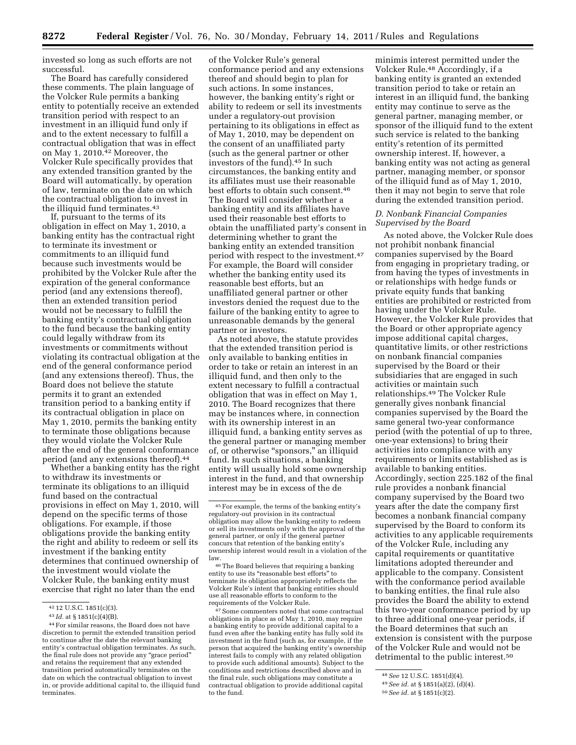invested so long as such efforts are not successful.

The Board has carefully considered these comments. The plain language of the Volcker Rule permits a banking entity to potentially receive an extended transition period with respect to an investment in an illiquid fund only if and to the extent necessary to fulfill a contractual obligation that was in effect on May 1, 2010.42 Moreover, the Volcker Rule specifically provides that any extended transition granted by the Board will automatically, by operation of law, terminate on the date on which the contractual obligation to invest in the illiquid fund terminates.43

If, pursuant to the terms of its obligation in effect on May 1, 2010, a banking entity has the contractual right to terminate its investment or commitments to an illiquid fund because such investments would be prohibited by the Volcker Rule after the expiration of the general conformance period (and any extensions thereof), then an extended transition period would not be necessary to fulfill the banking entity's contractual obligation to the fund because the banking entity could legally withdraw from its investments or commitments without violating its contractual obligation at the end of the general conformance period (and any extensions thereof). Thus, the Board does not believe the statute permits it to grant an extended transition period to a banking entity if its contractual obligation in place on May 1, 2010, permits the banking entity to terminate those obligations because they would violate the Volcker Rule after the end of the general conformance period (and any extensions thereof).44

Whether a banking entity has the right to withdraw its investments or terminate its obligations to an illiquid fund based on the contractual provisions in effect on May 1, 2010, will depend on the specific terms of those obligations. For example, if those obligations provide the banking entity the right and ability to redeem or sell its investment if the banking entity determines that continued ownership of the investment would violate the Volcker Rule, the banking entity must exercise that right no later than the end

of the Volcker Rule's general conformance period and any extensions thereof and should begin to plan for such actions. In some instances, however, the banking entity's right or ability to redeem or sell its investments under a regulatory-out provision pertaining to its obligations in effect as of May 1, 2010, may be dependent on the consent of an unaffiliated party (such as the general partner or other investors of the fund).45 In such circumstances, the banking entity and its affiliates must use their reasonable best efforts to obtain such consent.46 The Board will consider whether a banking entity and its affiliates have used their reasonable best efforts to obtain the unaffiliated party's consent in determining whether to grant the banking entity an extended transition period with respect to the investment.47 For example, the Board will consider whether the banking entity used its reasonable best efforts, but an unaffiliated general partner or other investors denied the request due to the failure of the banking entity to agree to unreasonable demands by the general partner or investors.

As noted above, the statute provides that the extended transition period is only available to banking entities in order to take or retain an interest in an illiquid fund, and then only to the extent necessary to fulfill a contractual obligation that was in effect on May 1, 2010. The Board recognizes that there may be instances where, in connection with its ownership interest in an illiquid fund, a banking entity serves as the general partner or managing member of, or otherwise "sponsors," an illiquid fund. In such situations, a banking entity will usually hold some ownership interest in the fund, and that ownership interest may be in excess of the de

46The Board believes that requiring a banking entity to use its "reasonable best efforts" to terminate its obligation appropriately reflects the Volcker Rule's intent that banking entities should use all reasonable efforts to conform to the requirements of the Volcker Rule.

 $47$  Some commenters noted that some contractual obligations in place as of May 1, 2010, may require a banking entity to provide additional capital to a fund even after the banking entity has fully sold its investment in the fund (such as, for example, if the person that acquired the banking entity's ownership interest fails to comply with any related obligation to provide such additional amounts). Subject to the conditions and restrictions described above and in the final rule, such obligations may constitute a contractual obligation to provide additional capital to the fund.

minimis interest permitted under the Volcker Rule.48 Accordingly, if a banking entity is granted an extended transition period to take or retain an interest in an illiquid fund, the banking entity may continue to serve as the general partner, managing member, or sponsor of the illiquid fund to the extent such service is related to the banking entity's retention of its permitted ownership interest. If, however, a banking entity was not acting as general partner, managing member, or sponsor of the illiquid fund as of May 1, 2010, then it may not begin to serve that role during the extended transition period.

# *D. Nonbank Financial Companies Supervised by the Board*

As noted above, the Volcker Rule does not prohibit nonbank financial companies supervised by the Board from engaging in proprietary trading, or from having the types of investments in or relationships with hedge funds or private equity funds that banking entities are prohibited or restricted from having under the Volcker Rule. However, the Volcker Rule provides that the Board or other appropriate agency impose additional capital charges, quantitative limits, or other restrictions on nonbank financial companies supervised by the Board or their subsidiaries that are engaged in such activities or maintain such relationships.49 The Volcker Rule generally gives nonbank financial companies supervised by the Board the same general two-year conformance period (with the potential of up to three, one-year extensions) to bring their activities into compliance with any requirements or limits established as is available to banking entities. Accordingly, section 225.182 of the final rule provides a nonbank financial company supervised by the Board two years after the date the company first becomes a nonbank financial company supervised by the Board to conform its activities to any applicable requirements of the Volcker Rule, including any capital requirements or quantitative limitations adopted thereunder and applicable to the company. Consistent with the conformance period available to banking entities, the final rule also provides the Board the ability to extend this two-year conformance period by up to three additional one-year periods, if the Board determines that such an extension is consistent with the purpose of the Volcker Rule and would not be detrimental to the public interest.<sup>50</sup>

<sup>42</sup> 12 U.S.C. 1851(c)(3).

<sup>43</sup> *Id.* at § 1851(c)(4)(B).

<sup>44</sup>For similar reasons, the Board does not have discretion to permit the extended transition period to continue after the date the relevant banking entity's contractual obligation terminates. As such, the final rule does not provide any "grace period" and retains the requirement that any extended transition period automatically terminates on the date on which the contractual obligation to invest in, or provide additional capital to, the illiquid fund terminates.

<sup>45</sup>For example, the terms of the banking entity's regulatory-out provision in its contractual obligation may allow the banking entity to redeem or sell its investments only with the approval of the general partner, or only if the general partner concurs that retention of the banking entity's ownership interest would result in a violation of the law.

<sup>48</sup>*See* 12 U.S.C. 1851(d)(4).

<sup>49</sup>*See id.* at § 1851(a)(2), (d)(4).

<sup>50</sup>*See id.* at § 1851(c)(2).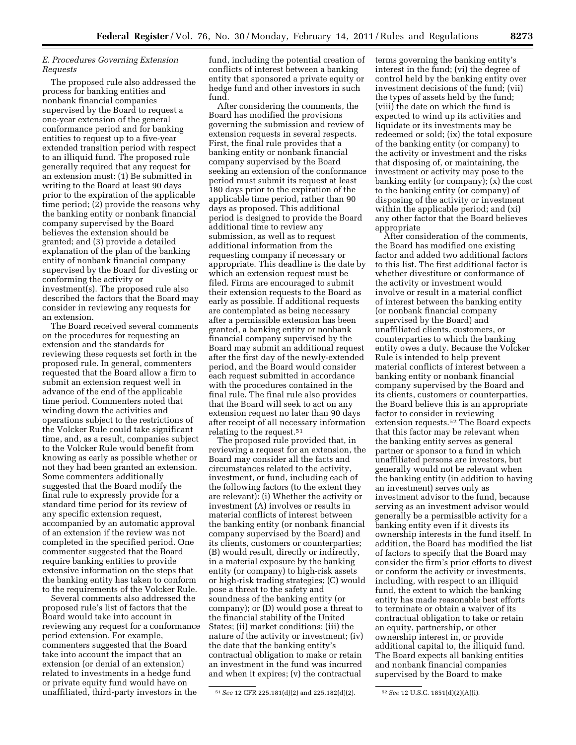# *E. Procedures Governing Extension Requests*

The proposed rule also addressed the process for banking entities and nonbank financial companies supervised by the Board to request a one-year extension of the general conformance period and for banking entities to request up to a five-year extended transition period with respect to an illiquid fund. The proposed rule generally required that any request for an extension must: (1) Be submitted in writing to the Board at least 90 days prior to the expiration of the applicable time period; (2) provide the reasons why the banking entity or nonbank financial company supervised by the Board believes the extension should be granted; and (3) provide a detailed explanation of the plan of the banking entity of nonbank financial company supervised by the Board for divesting or conforming the activity or investment(s). The proposed rule also described the factors that the Board may consider in reviewing any requests for an extension.

The Board received several comments on the procedures for requesting an extension and the standards for reviewing these requests set forth in the proposed rule. In general, commenters requested that the Board allow a firm to submit an extension request well in advance of the end of the applicable time period. Commenters noted that winding down the activities and operations subject to the restrictions of the Volcker Rule could take significant time, and, as a result, companies subject to the Volcker Rule would benefit from knowing as early as possible whether or not they had been granted an extension. Some commenters additionally suggested that the Board modify the final rule to expressly provide for a standard time period for its review of any specific extension request, accompanied by an automatic approval of an extension if the review was not completed in the specified period. One commenter suggested that the Board require banking entities to provide extensive information on the steps that the banking entity has taken to conform to the requirements of the Volcker Rule.

Several comments also addressed the proposed rule's list of factors that the Board would take into account in reviewing any request for a conformance period extension. For example, commenters suggested that the Board take into account the impact that an extension (or denial of an extension) related to investments in a hedge fund or private equity fund would have on unaffiliated, third-party investors in the

fund, including the potential creation of conflicts of interest between a banking entity that sponsored a private equity or hedge fund and other investors in such fund.

After considering the comments, the Board has modified the provisions governing the submission and review of extension requests in several respects. First, the final rule provides that a banking entity or nonbank financial company supervised by the Board seeking an extension of the conformance period must submit its request at least 180 days prior to the expiration of the applicable time period, rather than 90 days as proposed. This additional period is designed to provide the Board additional time to review any submission, as well as to request additional information from the requesting company if necessary or appropriate. This deadline is the date by which an extension request must be filed. Firms are encouraged to submit their extension requests to the Board as early as possible. If additional requests are contemplated as being necessary after a permissible extension has been granted, a banking entity or nonbank financial company supervised by the Board may submit an additional request after the first day of the newly-extended period, and the Board would consider each request submitted in accordance with the procedures contained in the final rule. The final rule also provides that the Board will seek to act on any extension request no later than 90 days after receipt of all necessary information relating to the request.51

The proposed rule provided that, in reviewing a request for an extension, the Board may consider all the facts and circumstances related to the activity, investment, or fund, including each of the following factors (to the extent they are relevant): (i) Whether the activity or investment (A) involves or results in material conflicts of interest between the banking entity (or nonbank financial company supervised by the Board) and its clients, customers or counterparties; (B) would result, directly or indirectly, in a material exposure by the banking entity (or company) to high-risk assets or high-risk trading strategies; (C) would pose a threat to the safety and soundness of the banking entity (or company); or (D) would pose a threat to the financial stability of the United States; (ii) market conditions; (iii) the nature of the activity or investment; (iv) the date that the banking entity's contractual obligation to make or retain an investment in the fund was incurred and when it expires; (v) the contractual

terms governing the banking entity's interest in the fund; (vi) the degree of control held by the banking entity over investment decisions of the fund; (vii) the types of assets held by the fund; (viii) the date on which the fund is expected to wind up its activities and liquidate or its investments may be redeemed or sold; (ix) the total exposure of the banking entity (or company) to the activity or investment and the risks that disposing of, or maintaining, the investment or activity may pose to the banking entity (or company); (x) the cost to the banking entity (or company) of disposing of the activity or investment within the applicable period; and (xi) any other factor that the Board believes appropriate

After consideration of the comments, the Board has modified one existing factor and added two additional factors to this list. The first additional factor is whether divestiture or conformance of the activity or investment would involve or result in a material conflict of interest between the banking entity (or nonbank financial company supervised by the Board) and unaffiliated clients, customers, or counterparties to which the banking entity owes a duty. Because the Volcker Rule is intended to help prevent material conflicts of interest between a banking entity or nonbank financial company supervised by the Board and its clients, customers or counterparties, the Board believe this is an appropriate factor to consider in reviewing extension requests.52 The Board expects that this factor may be relevant when the banking entity serves as general partner or sponsor to a fund in which unaffiliated persons are investors, but generally would not be relevant when the banking entity (in addition to having an investment) serves only as investment advisor to the fund, because serving as an investment advisor would generally be a permissible activity for a banking entity even if it divests its ownership interests in the fund itself. In addition, the Board has modified the list of factors to specify that the Board may consider the firm's prior efforts to divest or conform the activity or investments, including, with respect to an illiquid fund, the extent to which the banking entity has made reasonable best efforts to terminate or obtain a waiver of its contractual obligation to take or retain an equity, partnership, or other ownership interest in, or provide additional capital to, the illiquid fund. The Board expects all banking entities and nonbank financial companies supervised by the Board to make

<sup>51</sup>*See* 12 CFR 225.181(d)(2) and 225.182(d)(2). 52*See* 12 U.S.C. 1851(d)(2)(A)(i).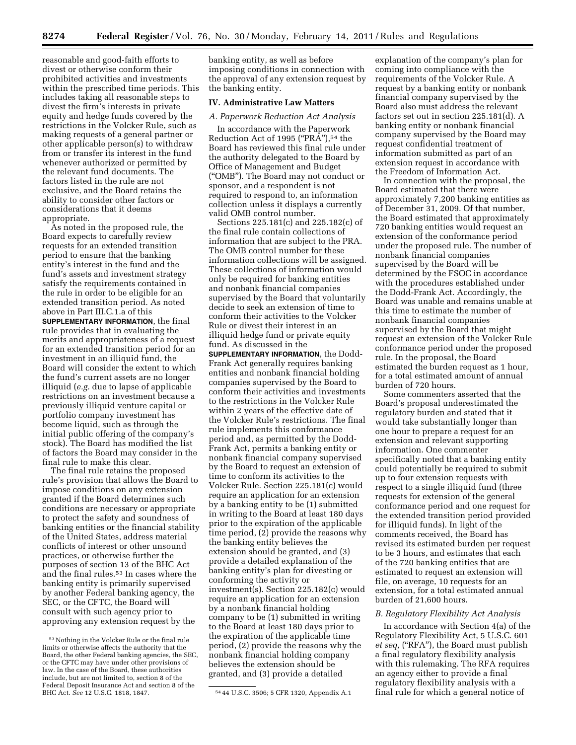reasonable and good-faith efforts to divest or otherwise conform their prohibited activities and investments within the prescribed time periods. This includes taking all reasonable steps to divest the firm's interests in private equity and hedge funds covered by the restrictions in the Volcker Rule, such as making requests of a general partner or other applicable person(s) to withdraw from or transfer its interest in the fund whenever authorized or permitted by the relevant fund documents. The factors listed in the rule are not exclusive, and the Board retains the ability to consider other factors or considerations that it deems appropriate.

As noted in the proposed rule, the Board expects to carefully review requests for an extended transition period to ensure that the banking entity's interest in the fund and the fund's assets and investment strategy satisfy the requirements contained in the rule in order to be eligible for an extended transition period. As noted above in Part III.C.1.a of this **SUPPLEMENTARY INFORMATION**, the final rule provides that in evaluating the merits and appropriateness of a request for an extended transition period for an investment in an illiquid fund, the Board will consider the extent to which the fund's current assets are no longer illiquid (*e.g.* due to lapse of applicable restrictions on an investment because a previously illiquid venture capital or portfolio company investment has become liquid, such as through the initial public offering of the company's stock). The Board has modified the list of factors the Board may consider in the final rule to make this clear.

The final rule retains the proposed rule's provision that allows the Board to impose conditions on any extension granted if the Board determines such conditions are necessary or appropriate to protect the safety and soundness of banking entities or the financial stability of the United States, address material conflicts of interest or other unsound practices, or otherwise further the purposes of section 13 of the BHC Act and the final rules.53 In cases where the banking entity is primarily supervised by another Federal banking agency, the SEC, or the CFTC, the Board will consult with such agency prior to approving any extension request by the

banking entity, as well as before imposing conditions in connection with the approval of any extension request by the banking entity.

# **IV. Administrative Law Matters**

#### *A. Paperwork Reduction Act Analysis*

In accordance with the Paperwork Reduction Act of 1995 (" $PRA$ "),<sup>54</sup> the Board has reviewed this final rule under the authority delegated to the Board by Office of Management and Budget (''OMB''). The Board may not conduct or sponsor, and a respondent is not required to respond to, an information collection unless it displays a currently valid OMB control number.

Sections 225.181(c) and 225.182(c) of the final rule contain collections of information that are subject to the PRA. The OMB control number for these information collections will be assigned. These collections of information would only be required for banking entities and nonbank financial companies supervised by the Board that voluntarily decide to seek an extension of time to conform their activities to the Volcker Rule or divest their interest in an illiquid hedge fund or private equity fund. As discussed in the

**SUPPLEMENTARY INFORMATION**, the Dodd-Frank Act generally requires banking entities and nonbank financial holding companies supervised by the Board to conform their activities and investments to the restrictions in the Volcker Rule within 2 years of the effective date of the Volcker Rule's restrictions. The final rule implements this conformance period and, as permitted by the Dodd-Frank Act, permits a banking entity or nonbank financial company supervised by the Board to request an extension of time to conform its activities to the Volcker Rule. Section 225.181(c) would require an application for an extension by a banking entity to be (1) submitted in writing to the Board at least 180 days prior to the expiration of the applicable time period, (2) provide the reasons why the banking entity believes the extension should be granted, and (3) provide a detailed explanation of the banking entity's plan for divesting or conforming the activity or investment(s). Section 225.182(c) would require an application for an extension by a nonbank financial holding company to be (1) submitted in writing to the Board at least 180 days prior to the expiration of the applicable time period, (2) provide the reasons why the nonbank financial holding company believes the extension should be granted, and (3) provide a detailed

explanation of the company's plan for coming into compliance with the requirements of the Volcker Rule. A request by a banking entity or nonbank financial company supervised by the Board also must address the relevant factors set out in section 225.181(d). A banking entity or nonbank financial company supervised by the Board may request confidential treatment of information submitted as part of an extension request in accordance with the Freedom of Information Act.

In connection with the proposal, the Board estimated that there were approximately 7,200 banking entities as of December 31, 2009. Of that number, the Board estimated that approximately 720 banking entities would request an extension of the conformance period under the proposed rule. The number of nonbank financial companies supervised by the Board will be determined by the FSOC in accordance with the procedures established under the Dodd-Frank Act. Accordingly, the Board was unable and remains unable at this time to estimate the number of nonbank financial companies supervised by the Board that might request an extension of the Volcker Rule conformance period under the proposed rule. In the proposal, the Board estimated the burden request as 1 hour, for a total estimated amount of annual burden of 720 hours.

Some commenters asserted that the Board's proposal underestimated the regulatory burden and stated that it would take substantially longer than one hour to prepare a request for an extension and relevant supporting information. One commenter specifically noted that a banking entity could potentially be required to submit up to four extension requests with respect to a single illiquid fund (three requests for extension of the general conformance period and one request for the extended transition period provided for illiquid funds). In light of the comments received, the Board has revised its estimated burden per request to be 3 hours, and estimates that each of the 720 banking entities that are estimated to request an extension will file, on average, 10 requests for an extension, for a total estimated annual burden of 21,600 hours.

#### *B. Regulatory Flexibility Act Analysis*

In accordance with Section 4(a) of the Regulatory Flexibility Act, 5 U.S.C. 601 *et seq,* (''RFA''), the Board must publish a final regulatory flexibility analysis with this rulemaking. The RFA requires an agency either to provide a final regulatory flexibility analysis with a final rule for which a general notice of

<sup>53</sup>Nothing in the Volcker Rule or the final rule limits or otherwise affects the authority that the Board, the other Federal banking agencies, the SEC, or the CFTC may have under other provisions of law. In the case of the Board, these authorities include, but are not limited to, section 8 of the Federal Deposit Insurance Act and section 8 of the BHC Act. See 12 U.S.C. 1818, 1847.

<sup>&</sup>lt;sup>54</sup> 44 U.S.C. 3506; 5 CFR 1320, Appendix A.1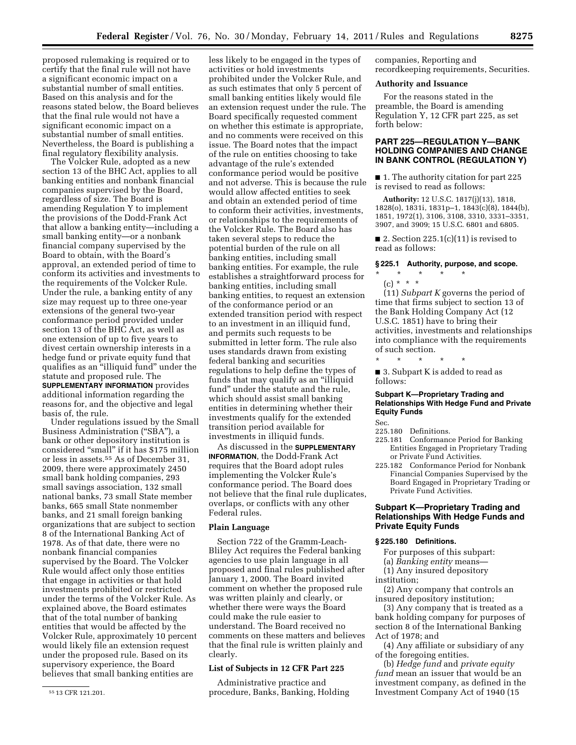proposed rulemaking is required or to certify that the final rule will not have a significant economic impact on a substantial number of small entities. Based on this analysis and for the reasons stated below, the Board believes that the final rule would not have a significant economic impact on a substantial number of small entities. Nevertheless, the Board is publishing a final regulatory flexibility analysis.

The Volcker Rule, adopted as a new section 13 of the BHC Act, applies to all banking entities and nonbank financial companies supervised by the Board, regardless of size. The Board is amending Regulation Y to implement the provisions of the Dodd-Frank Act that allow a banking entity—including a small banking entity—or a nonbank financial company supervised by the Board to obtain, with the Board's approval, an extended period of time to conform its activities and investments to the requirements of the Volcker Rule. Under the rule, a banking entity of any size may request up to three one-year extensions of the general two-year conformance period provided under section 13 of the BHC Act, as well as one extension of up to five years to divest certain ownership interests in a hedge fund or private equity fund that qualifies as an ''illiquid fund'' under the statute and proposed rule. The **SUPPLEMENTARY INFORMATION** provides additional information regarding the reasons for, and the objective and legal basis of, the rule.

Under regulations issued by the Small Business Administration ("SBA"), a bank or other depository institution is considered "small" if it has \$175 million or less in assets.55 As of December 31, 2009, there were approximately 2450 small bank holding companies, 293 small savings association, 132 small national banks, 73 small State member banks, 665 small State nonmember banks, and 21 small foreign banking organizations that are subject to section 8 of the International Banking Act of 1978. As of that date, there were no nonbank financial companies supervised by the Board. The Volcker Rule would affect only those entities that engage in activities or that hold investments prohibited or restricted under the terms of the Volcker Rule. As explained above, the Board estimates that of the total number of banking entities that would be affected by the Volcker Rule, approximately 10 percent would likely file an extension request under the proposed rule. Based on its supervisory experience, the Board believes that small banking entities are

less likely to be engaged in the types of activities or hold investments prohibited under the Volcker Rule, and as such estimates that only 5 percent of small banking entities likely would file an extension request under the rule. The Board specifically requested comment on whether this estimate is appropriate, and no comments were received on this issue. The Board notes that the impact of the rule on entities choosing to take advantage of the rule's extended conformance period would be positive and not adverse. This is because the rule would allow affected entities to seek and obtain an extended period of time to conform their activities, investments, or relationships to the requirements of the Volcker Rule. The Board also has taken several steps to reduce the potential burden of the rule on all banking entities, including small banking entities. For example, the rule establishes a straightforward process for banking entities, including small banking entities, to request an extension of the conformance period or an extended transition period with respect to an investment in an illiquid fund, and permits such requests to be submitted in letter form. The rule also uses standards drawn from existing federal banking and securities regulations to help define the types of funds that may qualify as an ''illiquid fund'' under the statute and the rule, which should assist small banking entities in determining whether their investments qualify for the extended transition period available for investments in illiquid funds.

As discussed in the **SUPPLEMENTARY INFORMATION**, the Dodd-Frank Act requires that the Board adopt rules implementing the Volcker Rule's conformance period. The Board does not believe that the final rule duplicates, overlaps, or conflicts with any other Federal rules.

#### **Plain Language**

Section 722 of the Gramm-Leach-Bliley Act requires the Federal banking agencies to use plain language in all proposed and final rules published after January 1, 2000. The Board invited comment on whether the proposed rule was written plainly and clearly, or whether there were ways the Board could make the rule easier to understand. The Board received no comments on these matters and believes that the final rule is written plainly and clearly.

# **List of Subjects in 12 CFR Part 225**

Administrative practice and procedure, Banks, Banking, Holding companies, Reporting and recordkeeping requirements, Securities.

#### **Authority and Issuance**

For the reasons stated in the preamble, the Board is amending Regulation Y, 12 CFR part 225, as set forth below:

# **PART 225—REGULATION Y—BANK HOLDING COMPANIES AND CHANGE IN BANK CONTROL (REGULATION Y)**

■ 1. The authority citation for part 225 is revised to read as follows:

**Authority:** 12 U.S.C. 1817(j)(13), 1818, 1828(o), 1831i, 1831p–1, 1843(c)(8), 1844(b), 1851, 1972(1), 3106, 3108, 3310, 3331–3351, 3907, and 3909; 15 U.S.C. 6801 and 6805.

■ 2. Section  $225.1(c)(11)$  is revised to read as follows:

#### **§ 225.1 Authority, purpose, and scope.**

- $*$  \*
- (c) \* \* \*

(11) *Subpart K* governs the period of time that firms subject to section 13 of the Bank Holding Company Act (12 U.S.C. 1851) have to bring their activities, investments and relationships into compliance with the requirements of such section.

\* \* \* \* \* ■ 3. Subpart K is added to read as follows:

# **Subpart K—Proprietary Trading and Relationships With Hedge Fund and Private Equity Funds**

Sec.

- 225.180 Definitions.
- 225.181 Conformance Period for Banking Entities Engaged in Proprietary Trading or Private Fund Activities.
- 225.182 Conformance Period for Nonbank Financial Companies Supervised by the Board Engaged in Proprietary Trading or Private Fund Activities.

# **Subpart K—Proprietary Trading and Relationships With Hedge Funds and Private Equity Funds**

# **§ 225.180 Definitions.**

- For purposes of this subpart:
- (a) *Banking entity* means—
- (1) Any insured depository
- institution;

(2) Any company that controls an insured depository institution;

(3) Any company that is treated as a bank holding company for purposes of section 8 of the International Banking Act of 1978; and

(4) Any affiliate or subsidiary of any of the foregoing entities.

(b) *Hedge fund* and *private equity fund* mean an issuer that would be an investment company, as defined in the Investment Company Act of 1940 (15

<sup>55</sup> 13 CFR 121.201.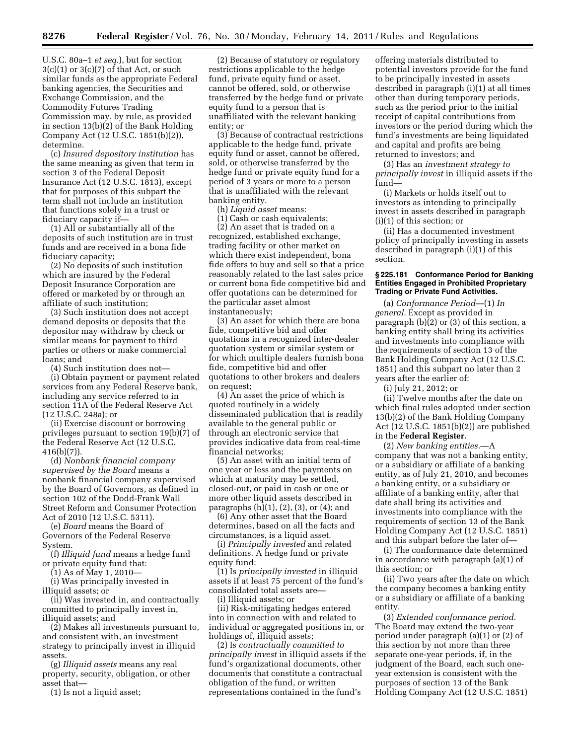U.S.C. 80a–1 *et seq.*), but for section  $3(c)(1)$  or  $3(c)(7)$  of that Act, or such similar funds as the appropriate Federal banking agencies, the Securities and Exchange Commission, and the Commodity Futures Trading Commission may, by rule, as provided in section 13(b)(2) of the Bank Holding Company Act (12 U.S.C. 1851(b)(2)), determine.

(c) *Insured depository institution* has the same meaning as given that term in section 3 of the Federal Deposit Insurance Act (12 U.S.C. 1813), except that for purposes of this subpart the term shall not include an institution that functions solely in a trust or fiduciary capacity if—

(1) All or substantially all of the deposits of such institution are in trust funds and are received in a bona fide fiduciary capacity;

(2) No deposits of such institution which are insured by the Federal Deposit Insurance Corporation are offered or marketed by or through an affiliate of such institution;

(3) Such institution does not accept demand deposits or deposits that the depositor may withdraw by check or similar means for payment to third parties or others or make commercial loans; and

(4) Such institution does not—

(i) Obtain payment or payment related services from any Federal Reserve bank, including any service referred to in section 11A of the Federal Reserve Act (12 U.S.C. 248a); or

(ii) Exercise discount or borrowing privileges pursuant to section 19(b)(7) of the Federal Reserve Act (12 U.S.C. 416(b)(7)).

(d) *Nonbank financial company supervised by the Board* means a nonbank financial company supervised by the Board of Governors, as defined in section 102 of the Dodd-Frank Wall Street Reform and Consumer Protection Act of 2010 (12 U.S.C. 5311).

(e) *Board* means the Board of Governors of the Federal Reserve System.

(f) *Illiquid fund* means a hedge fund or private equity fund that:

(1) As of May 1, 2010—

(i) Was principally invested in illiquid assets; or

(ii) Was invested in, and contractually committed to principally invest in, illiquid assets; and

(2) Makes all investments pursuant to, and consistent with, an investment strategy to principally invest in illiquid assets.

(g) *Illiquid assets* means any real property, security, obligation, or other asset that—

(1) Is not a liquid asset;

(2) Because of statutory or regulatory restrictions applicable to the hedge fund, private equity fund or asset, cannot be offered, sold, or otherwise transferred by the hedge fund or private equity fund to a person that is unaffiliated with the relevant banking entity; or

(3) Because of contractual restrictions applicable to the hedge fund, private equity fund or asset, cannot be offered, sold, or otherwise transferred by the hedge fund or private equity fund for a period of 3 years or more to a person that is unaffiliated with the relevant banking entity.

(h) *Liquid asset* means:

(1) Cash or cash equivalents;

(2) An asset that is traded on a recognized, established exchange, trading facility or other market on which there exist independent, bona fide offers to buy and sell so that a price reasonably related to the last sales price or current bona fide competitive bid and offer quotations can be determined for the particular asset almost instantaneously;

(3) An asset for which there are bona fide, competitive bid and offer quotations in a recognized inter-dealer quotation system or similar system or for which multiple dealers furnish bona fide, competitive bid and offer quotations to other brokers and dealers on request;

(4) An asset the price of which is quoted routinely in a widely disseminated publication that is readily available to the general public or through an electronic service that provides indicative data from real-time financial networks;

(5) An asset with an initial term of one year or less and the payments on which at maturity may be settled, closed-out, or paid in cash or one or more other liquid assets described in paragraphs  $(h)(1)$ ,  $(2)$ ,  $(3)$ , or  $(4)$ ; and

(6) Any other asset that the Board determines, based on all the facts and circumstances, is a liquid asset.

(i) *Principally invested* and related definitions. A hedge fund or private equity fund:

(1) Is *principally invested* in illiquid assets if at least 75 percent of the fund's consolidated total assets are—

(i) Illiquid assets; or

(ii) Risk-mitigating hedges entered into in connection with and related to individual or aggregated positions in, or holdings of, illiquid assets;

(2) Is *contractually committed to principally invest* in illiquid assets if the fund's organizational documents, other documents that constitute a contractual obligation of the fund, or written representations contained in the fund's

offering materials distributed to potential investors provide for the fund to be principally invested in assets described in paragraph (i)(1) at all times other than during temporary periods, such as the period prior to the initial receipt of capital contributions from investors or the period during which the fund's investments are being liquidated and capital and profits are being returned to investors; and

(3) Has an *investment strategy to principally invest* in illiquid assets if the fund—

(i) Markets or holds itself out to investors as intending to principally invest in assets described in paragraph (i)(1) of this section; or

(ii) Has a documented investment policy of principally investing in assets described in paragraph (i)(1) of this section.

#### **§ 225.181 Conformance Period for Banking Entities Engaged in Prohibited Proprietary Trading or Private Fund Activities.**

(a) *Conformance Period*—(1) *In general.* Except as provided in paragraph (b)(2) or (3) of this section, a banking entity shall bring its activities and investments into compliance with the requirements of section 13 of the Bank Holding Company Act (12 U.S.C. 1851) and this subpart no later than 2 years after the earlier of:

(i) July 21, 2012; or

(ii) Twelve months after the date on which final rules adopted under section 13(b)(2) of the Bank Holding Company Act (12 U.S.C. 1851(b)(2)) are published in the **Federal Register**.

(2) *New banking entities.*—A company that was not a banking entity, or a subsidiary or affiliate of a banking entity, as of July 21, 2010, and becomes a banking entity, or a subsidiary or affiliate of a banking entity, after that date shall bring its activities and investments into compliance with the requirements of section 13 of the Bank Holding Company Act (12 U.S.C. 1851) and this subpart before the later of—

(i) The conformance date determined in accordance with paragraph (a)(1) of this section; or

(ii) Two years after the date on which the company becomes a banking entity or a subsidiary or affiliate of a banking entity.

(3) *Extended conformance period.*  The Board may extend the two-year period under paragraph (a)(1) or (2) of this section by not more than three separate one-year periods, if, in the judgment of the Board, each such oneyear extension is consistent with the purposes of section 13 of the Bank Holding Company Act (12 U.S.C. 1851)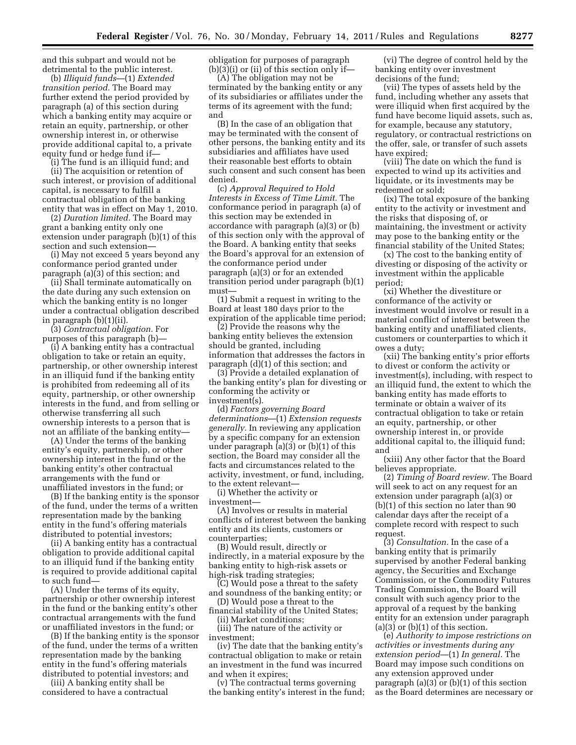and this subpart and would not be detrimental to the public interest.

(b) *Illiquid funds*—(1) *Extended transition period.* The Board may further extend the period provided by paragraph (a) of this section during which a banking entity may acquire or retain an equity, partnership, or other ownership interest in, or otherwise provide additional capital to, a private equity fund or hedge fund if—

(i) The fund is an illiquid fund; and (ii) The acquisition or retention of such interest, or provision of additional capital, is necessary to fulfill a contractual obligation of the banking entity that was in effect on May 1, 2010.

(2) *Duration limited.* The Board may grant a banking entity only one extension under paragraph (b)(1) of this section and such extension—

(i) May not exceed 5 years beyond any conformance period granted under paragraph (a)(3) of this section; and

(ii) Shall terminate automatically on the date during any such extension on which the banking entity is no longer under a contractual obligation described in paragraph (b)(1)(ii).

(3) *Contractual obligation.* For purposes of this paragraph (b)—

(i) A banking entity has a contractual obligation to take or retain an equity, partnership, or other ownership interest in an illiquid fund if the banking entity is prohibited from redeeming all of its equity, partnership, or other ownership interests in the fund, and from selling or otherwise transferring all such ownership interests to a person that is not an affiliate of the banking entity—

(A) Under the terms of the banking entity's equity, partnership, or other ownership interest in the fund or the banking entity's other contractual arrangements with the fund or unaffiliated investors in the fund; or

(B) If the banking entity is the sponsor of the fund, under the terms of a written representation made by the banking entity in the fund's offering materials distributed to potential investors;

(ii) A banking entity has a contractual obligation to provide additional capital to an illiquid fund if the banking entity is required to provide additional capital to such fund—

(A) Under the terms of its equity, partnership or other ownership interest in the fund or the banking entity's other contractual arrangements with the fund or unaffiliated investors in the fund; or

(B) If the banking entity is the sponsor of the fund, under the terms of a written representation made by the banking entity in the fund's offering materials distributed to potential investors; and

(iii) A banking entity shall be considered to have a contractual obligation for purposes of paragraph  $(b)(3)(i)$  or (ii) of this section only if—

(A) The obligation may not be terminated by the banking entity or any of its subsidiaries or affiliates under the terms of its agreement with the fund; and

(B) In the case of an obligation that may be terminated with the consent of other persons, the banking entity and its subsidiaries and affiliates have used their reasonable best efforts to obtain such consent and such consent has been denied.

(c) *Approval Required to Hold Interests in Excess of Time Limit.* The conformance period in paragraph (a) of this section may be extended in accordance with paragraph (a)(3) or (b) of this section only with the approval of the Board. A banking entity that seeks the Board's approval for an extension of the conformance period under paragraph (a)(3) or for an extended transition period under paragraph (b)(1) must—

(1) Submit a request in writing to the Board at least 180 days prior to the expiration of the applicable time period;

(2) Provide the reasons why the banking entity believes the extension should be granted, including information that addresses the factors in paragraph (d)(1) of this section; and

(3) Provide a detailed explanation of the banking entity's plan for divesting or conforming the activity or investment(s).

(d) *Factors governing Board determinations*—(1) *Extension requests generally.* In reviewing any application by a specific company for an extension under paragraph (a)(3) or (b)(1) of this section, the Board may consider all the facts and circumstances related to the activity, investment, or fund, including, to the extent relevant—

(i) Whether the activity or investment—

(A) Involves or results in material conflicts of interest between the banking entity and its clients, customers or counterparties;

(B) Would result, directly or indirectly, in a material exposure by the banking entity to high-risk assets or high-risk trading strategies;

(C) Would pose a threat to the safety and soundness of the banking entity; or

(D) Would pose a threat to the financial stability of the United States; (ii) Market conditions;

(iii) The nature of the activity or investment;

(iv) The date that the banking entity's contractual obligation to make or retain an investment in the fund was incurred and when it expires;

(v) The contractual terms governing the banking entity's interest in the fund;

(vi) The degree of control held by the banking entity over investment decisions of the fund;

(vii) The types of assets held by the fund, including whether any assets that were illiquid when first acquired by the fund have become liquid assets, such as, for example, because any statutory, regulatory, or contractual restrictions on the offer, sale, or transfer of such assets have expired;

(viii) The date on which the fund is expected to wind up its activities and liquidate, or its investments may be redeemed or sold;

(ix) The total exposure of the banking entity to the activity or investment and the risks that disposing of, or maintaining, the investment or activity may pose to the banking entity or the financial stability of the United States;

(x) The cost to the banking entity of divesting or disposing of the activity or investment within the applicable period;

(xi) Whether the divestiture or conformance of the activity or investment would involve or result in a material conflict of interest between the banking entity and unaffiliated clients, customers or counterparties to which it owes a duty;

(xii) The banking entity's prior efforts to divest or conform the activity or investment(s), including, with respect to an illiquid fund, the extent to which the banking entity has made efforts to terminate or obtain a waiver of its contractual obligation to take or retain an equity, partnership, or other ownership interest in, or provide additional capital to, the illiquid fund; and

(xiii) Any other factor that the Board believes appropriate.

(2) *Timing of Board review.* The Board will seek to act on any request for an extension under paragraph (a)(3) or (b)(1) of this section no later than 90 calendar days after the receipt of a complete record with respect to such request.

(3) *Consultation.* In the case of a banking entity that is primarily supervised by another Federal banking agency, the Securities and Exchange Commission, or the Commodity Futures Trading Commission, the Board will consult with such agency prior to the approval of a request by the banking entity for an extension under paragraph  $(a)(3)$  or  $(b)(1)$  of this section.

(e) *Authority to impose restrictions on activities or investments during any extension period*—(1) *In general.* The Board may impose such conditions on any extension approved under paragraph (a)(3) or (b)(1) of this section as the Board determines are necessary or